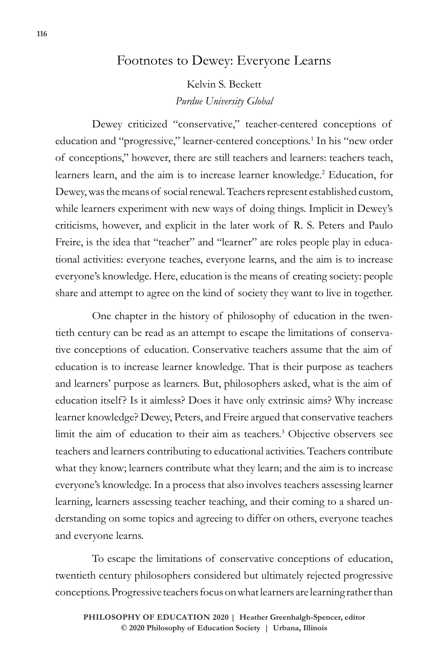# Footnotes to Dewey: Everyone Learns

Kelvin S. Beckett *Purdue University Global*

Dewey criticized "conservative," teacher-centered conceptions of education and "progressive," learner-centered conceptions.1 In his "new order of conceptions," however, there are still teachers and learners: teachers teach, learners learn, and the aim is to increase learner knowledge.<sup>2</sup> Education, for Dewey, was the means of social renewal. Teachers represent established custom, while learners experiment with new ways of doing things. Implicit in Dewey's criticisms, however, and explicit in the later work of R. S. Peters and Paulo Freire, is the idea that "teacher" and "learner" are roles people play in educational activities: everyone teaches, everyone learns, and the aim is to increase everyone's knowledge. Here, education is the means of creating society: people share and attempt to agree on the kind of society they want to live in together.

One chapter in the history of philosophy of education in the twentieth century can be read as an attempt to escape the limitations of conservative conceptions of education. Conservative teachers assume that the aim of education is to increase learner knowledge. That is their purpose as teachers and learners' purpose as learners. But, philosophers asked, what is the aim of education itself? Is it aimless? Does it have only extrinsic aims? Why increase learner knowledge? Dewey, Peters, and Freire argued that conservative teachers limit the aim of education to their aim as teachers.3 Objective observers see teachers and learners contributing to educational activities. Teachers contribute what they know; learners contribute what they learn; and the aim is to increase everyone's knowledge. In a process that also involves teachers assessing learner learning, learners assessing teacher teaching, and their coming to a shared understanding on some topics and agreeing to differ on others, everyone teaches and everyone learns.

To escape the limitations of conservative conceptions of education, twentieth century philosophers considered but ultimately rejected progressive conceptions. Progressive teachers focus on what learners are learning rather than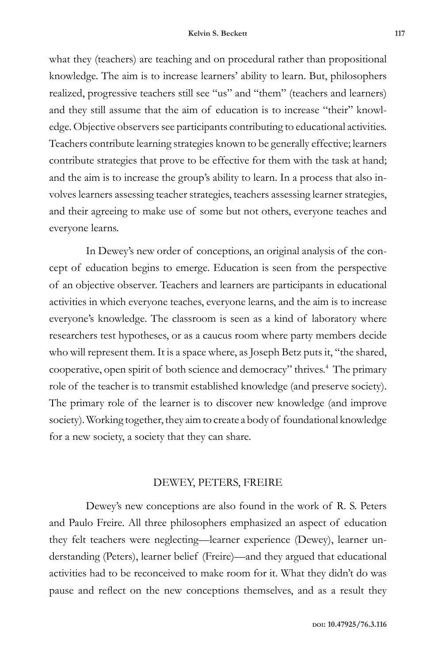what they (teachers) are teaching and on procedural rather than propositional knowledge. The aim is to increase learners' ability to learn. But, philosophers realized, progressive teachers still see "us" and "them" (teachers and learners) and they still assume that the aim of education is to increase "their" knowledge. Objective observers see participants contributing to educational activities. Teachers contribute learning strategies known to be generally effective; learners contribute strategies that prove to be effective for them with the task at hand; and the aim is to increase the group's ability to learn. In a process that also involves learners assessing teacher strategies, teachers assessing learner strategies, and their agreeing to make use of some but not others, everyone teaches and everyone learns.

In Dewey's new order of conceptions, an original analysis of the concept of education begins to emerge. Education is seen from the perspective of an objective observer. Teachers and learners are participants in educational activities in which everyone teaches, everyone learns, and the aim is to increase everyone's knowledge. The classroom is seen as a kind of laboratory where researchers test hypotheses, or as a caucus room where party members decide who will represent them. It is a space where, as Joseph Betz puts it, "the shared, cooperative, open spirit of both science and democracy" thrives.4 The primary role of the teacher is to transmit established knowledge (and preserve society). The primary role of the learner is to discover new knowledge (and improve society). Working together, they aim to create a body of foundational knowledge for a new society, a society that they can share.

## DEWEY, PETERS, FREIRE

Dewey's new conceptions are also found in the work of R. S. Peters and Paulo Freire. All three philosophers emphasized an aspect of education they felt teachers were neglecting—learner experience (Dewey), learner understanding (Peters), learner belief (Freire)—and they argued that educational activities had to be reconceived to make room for it. What they didn't do was pause and reflect on the new conceptions themselves, and as a result they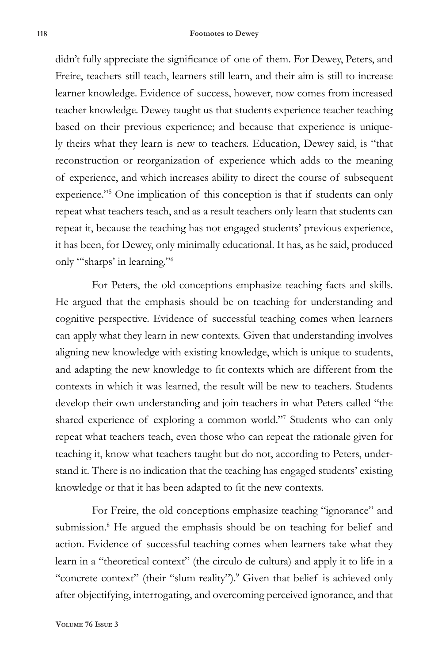didn't fully appreciate the significance of one of them. For Dewey, Peters, and Freire, teachers still teach, learners still learn, and their aim is still to increase learner knowledge. Evidence of success, however, now comes from increased teacher knowledge. Dewey taught us that students experience teacher teaching based on their previous experience; and because that experience is uniquely theirs what they learn is new to teachers. Education, Dewey said, is "that reconstruction or reorganization of experience which adds to the meaning of experience, and which increases ability to direct the course of subsequent experience."<sup>5</sup> One implication of this conception is that if students can only repeat what teachers teach, and as a result teachers only learn that students can repeat it, because the teaching has not engaged students' previous experience, it has been, for Dewey, only minimally educational. It has, as he said, produced only "'sharps' in learning."6

For Peters, the old conceptions emphasize teaching facts and skills. He argued that the emphasis should be on teaching for understanding and cognitive perspective. Evidence of successful teaching comes when learners can apply what they learn in new contexts. Given that understanding involves aligning new knowledge with existing knowledge, which is unique to students, and adapting the new knowledge to fit contexts which are different from the contexts in which it was learned, the result will be new to teachers. Students develop their own understanding and join teachers in what Peters called "the shared experience of exploring a common world."7 Students who can only repeat what teachers teach, even those who can repeat the rationale given for teaching it, know what teachers taught but do not, according to Peters, understand it. There is no indication that the teaching has engaged students' existing knowledge or that it has been adapted to fit the new contexts.

For Freire, the old conceptions emphasize teaching "ignorance" and submission.<sup>8</sup> He argued the emphasis should be on teaching for belief and action. Evidence of successful teaching comes when learners take what they learn in a "theoretical context" (the circulo de cultura) and apply it to life in a "concrete context" (their "slum reality").<sup>9</sup> Given that belief is achieved only after objectifying, interrogating, and overcoming perceived ignorance, and that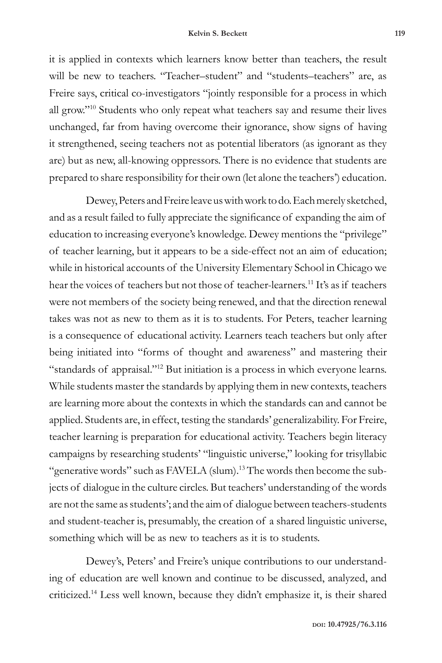it is applied in contexts which learners know better than teachers, the result will be new to teachers. "Teacher–student" and "students–teachers" are, as Freire says, critical co-investigators "jointly responsible for a process in which all grow."10 Students who only repeat what teachers say and resume their lives unchanged, far from having overcome their ignorance, show signs of having it strengthened, seeing teachers not as potential liberators (as ignorant as they are) but as new, all-knowing oppressors. There is no evidence that students are prepared to share responsibility for their own (let alone the teachers') education.

Dewey, Peters and Freire leave us with work to do. Each merely sketched, and as a result failed to fully appreciate the significance of expanding the aim of education to increasing everyone's knowledge. Dewey mentions the "privilege" of teacher learning, but it appears to be a side-effect not an aim of education; while in historical accounts of the University Elementary School in Chicago we hear the voices of teachers but not those of teacher-learners.<sup>11</sup> It's as if teachers were not members of the society being renewed, and that the direction renewal takes was not as new to them as it is to students. For Peters, teacher learning is a consequence of educational activity. Learners teach teachers but only after being initiated into "forms of thought and awareness" and mastering their "standards of appraisal."<sup>12</sup> But initiation is a process in which everyone learns. While students master the standards by applying them in new contexts, teachers are learning more about the contexts in which the standards can and cannot be applied. Students are, in effect, testing the standards' generalizability. For Freire, teacher learning is preparation for educational activity. Teachers begin literacy campaigns by researching students' "linguistic universe," looking for trisyllabic "generative words" such as FAVELA (slum).<sup>13</sup> The words then become the subjects of dialogue in the culture circles. But teachers' understanding of the words are not the same as students'; and the aim of dialogue between teachers-students and student-teacher is, presumably, the creation of a shared linguistic universe, something which will be as new to teachers as it is to students.

Dewey's, Peters' and Freire's unique contributions to our understanding of education are well known and continue to be discussed, analyzed, and criticized.14 Less well known, because they didn't emphasize it, is their shared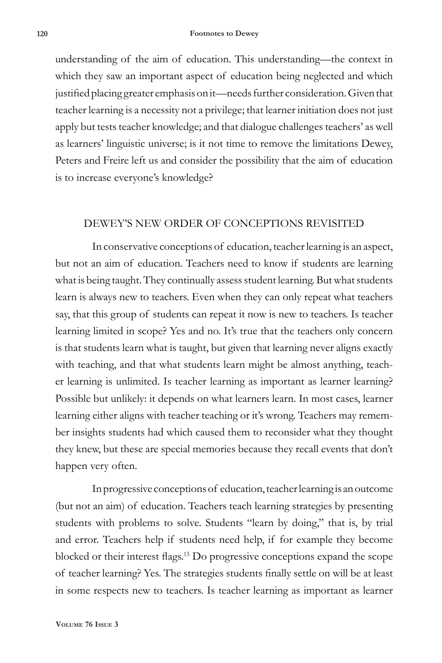understanding of the aim of education. This understanding—the context in which they saw an important aspect of education being neglected and which justified placing greater emphasis on it—needs further consideration. Given that teacher learning is a necessity not a privilege; that learner initiation does not just apply but tests teacher knowledge; and that dialogue challenges teachers' as well as learners' linguistic universe; is it not time to remove the limitations Dewey, Peters and Freire left us and consider the possibility that the aim of education is to increase everyone's knowledge?

## DEWEY'S NEW ORDER OF CONCEPTIONS REVISITED

In conservative conceptions of education, teacher learning is an aspect, but not an aim of education. Teachers need to know if students are learning what is being taught. They continually assess student learning. But what students learn is always new to teachers. Even when they can only repeat what teachers say, that this group of students can repeat it now is new to teachers. Is teacher learning limited in scope? Yes and no. It's true that the teachers only concern is that students learn what is taught, but given that learning never aligns exactly with teaching, and that what students learn might be almost anything, teacher learning is unlimited. Is teacher learning as important as learner learning? Possible but unlikely: it depends on what learners learn. In most cases, learner learning either aligns with teacher teaching or it's wrong. Teachers may remember insights students had which caused them to reconsider what they thought they knew, but these are special memories because they recall events that don't happen very often.

In progressive conceptions of education, teacher learning is an outcome (but not an aim) of education. Teachers teach learning strategies by presenting students with problems to solve. Students "learn by doing," that is, by trial and error. Teachers help if students need help, if for example they become blocked or their interest flags.15 Do progressive conceptions expand the scope of teacher learning? Yes. The strategies students finally settle on will be at least in some respects new to teachers. Is teacher learning as important as learner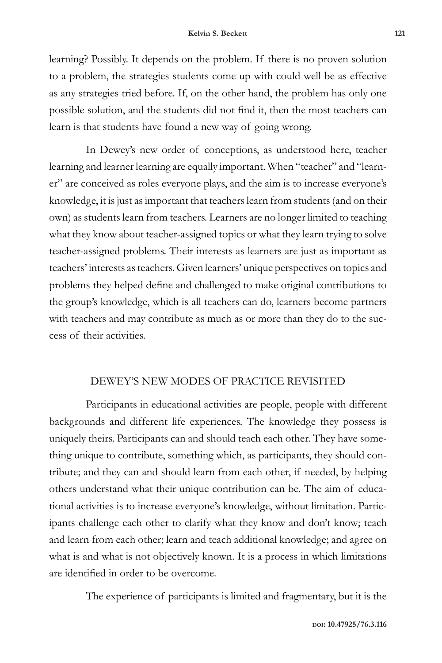learning? Possibly. It depends on the problem. If there is no proven solution to a problem, the strategies students come up with could well be as effective as any strategies tried before. If, on the other hand, the problem has only one possible solution, and the students did not find it, then the most teachers can learn is that students have found a new way of going wrong.

In Dewey's new order of conceptions, as understood here, teacher learning and learner learning are equally important. When "teacher" and "learner" are conceived as roles everyone plays, and the aim is to increase everyone's knowledge, it is just as important that teachers learn from students (and on their own) as students learn from teachers. Learners are no longer limited to teaching what they know about teacher-assigned topics or what they learn trying to solve teacher-assigned problems. Their interests as learners are just as important as teachers' interests as teachers. Given learners' unique perspectives on topics and problems they helped define and challenged to make original contributions to the group's knowledge, which is all teachers can do, learners become partners with teachers and may contribute as much as or more than they do to the success of their activities.

# DEWEY'S NEW MODES OF PRACTICE REVISITED

Participants in educational activities are people, people with different backgrounds and different life experiences. The knowledge they possess is uniquely theirs. Participants can and should teach each other. They have something unique to contribute, something which, as participants, they should contribute; and they can and should learn from each other, if needed, by helping others understand what their unique contribution can be. The aim of educational activities is to increase everyone's knowledge, without limitation. Participants challenge each other to clarify what they know and don't know; teach and learn from each other; learn and teach additional knowledge; and agree on what is and what is not objectively known. It is a process in which limitations are identified in order to be overcome.

The experience of participants is limited and fragmentary, but it is the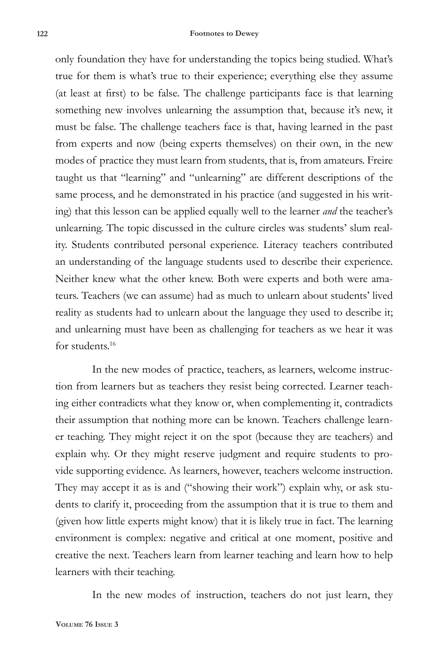only foundation they have for understanding the topics being studied. What's true for them is what's true to their experience; everything else they assume (at least at first) to be false. The challenge participants face is that learning something new involves unlearning the assumption that, because it's new, it must be false. The challenge teachers face is that, having learned in the past from experts and now (being experts themselves) on their own, in the new modes of practice they must learn from students, that is, from amateurs. Freire taught us that "learning" and "unlearning" are different descriptions of the same process, and he demonstrated in his practice (and suggested in his writing) that this lesson can be applied equally well to the learner *and* the teacher's unlearning. The topic discussed in the culture circles was students' slum reality. Students contributed personal experience. Literacy teachers contributed an understanding of the language students used to describe their experience. Neither knew what the other knew. Both were experts and both were amateurs. Teachers (we can assume) had as much to unlearn about students' lived reality as students had to unlearn about the language they used to describe it; and unlearning must have been as challenging for teachers as we hear it was for students.<sup>16</sup>

In the new modes of practice, teachers, as learners, welcome instruction from learners but as teachers they resist being corrected. Learner teaching either contradicts what they know or, when complementing it, contradicts their assumption that nothing more can be known. Teachers challenge learner teaching. They might reject it on the spot (because they are teachers) and explain why. Or they might reserve judgment and require students to provide supporting evidence. As learners, however, teachers welcome instruction. They may accept it as is and ("showing their work") explain why, or ask students to clarify it, proceeding from the assumption that it is true to them and (given how little experts might know) that it is likely true in fact. The learning environment is complex: negative and critical at one moment, positive and creative the next. Teachers learn from learner teaching and learn how to help learners with their teaching.

In the new modes of instruction, teachers do not just learn, they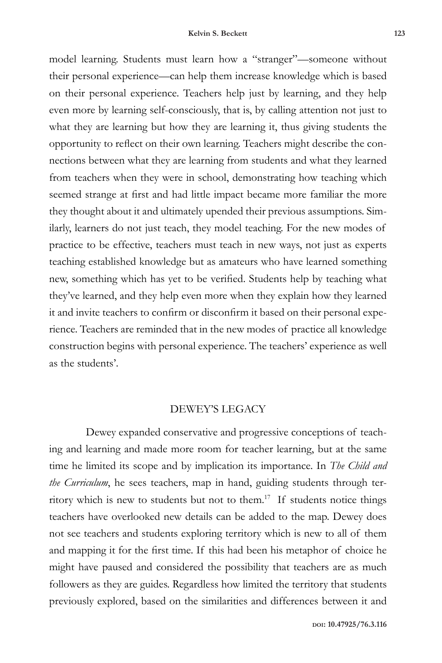model learning. Students must learn how a "stranger"—someone without their personal experience—can help them increase knowledge which is based on their personal experience. Teachers help just by learning, and they help even more by learning self-consciously, that is, by calling attention not just to what they are learning but how they are learning it, thus giving students the opportunity to reflect on their own learning. Teachers might describe the connections between what they are learning from students and what they learned from teachers when they were in school, demonstrating how teaching which seemed strange at first and had little impact became more familiar the more they thought about it and ultimately upended their previous assumptions. Similarly, learners do not just teach, they model teaching. For the new modes of practice to be effective, teachers must teach in new ways, not just as experts teaching established knowledge but as amateurs who have learned something new, something which has yet to be verified. Students help by teaching what they've learned, and they help even more when they explain how they learned it and invite teachers to confirm or disconfirm it based on their personal experience. Teachers are reminded that in the new modes of practice all knowledge construction begins with personal experience. The teachers' experience as well as the students'.

### DEWEY'S LEGACY

Dewey expanded conservative and progressive conceptions of teaching and learning and made more room for teacher learning, but at the same time he limited its scope and by implication its importance. In *The Child and the Curriculum*, he sees teachers, map in hand, guiding students through territory which is new to students but not to them.17 If students notice things teachers have overlooked new details can be added to the map. Dewey does not see teachers and students exploring territory which is new to all of them and mapping it for the first time. If this had been his metaphor of choice he might have paused and considered the possibility that teachers are as much followers as they are guides. Regardless how limited the territory that students previously explored, based on the similarities and differences between it and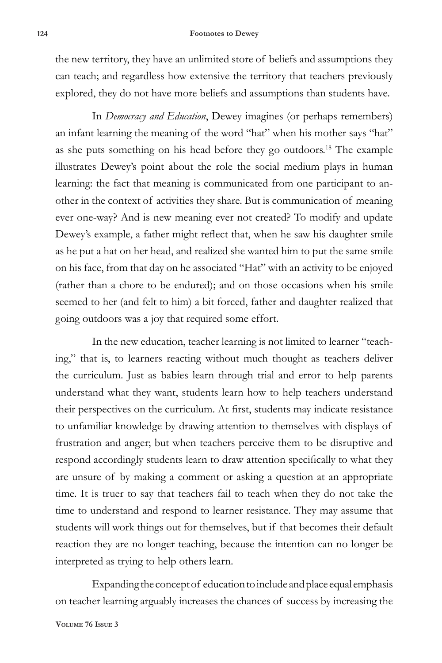#### **124 Footnotes to Dewey**

the new territory, they have an unlimited store of beliefs and assumptions they can teach; and regardless how extensive the territory that teachers previously explored, they do not have more beliefs and assumptions than students have.

In *Democracy and Education*, Dewey imagines (or perhaps remembers) an infant learning the meaning of the word "hat" when his mother says "hat" as she puts something on his head before they go outdoors.18 The example illustrates Dewey's point about the role the social medium plays in human learning: the fact that meaning is communicated from one participant to another in the context of activities they share. But is communication of meaning ever one-way? And is new meaning ever not created? To modify and update Dewey's example, a father might reflect that, when he saw his daughter smile as he put a hat on her head, and realized she wanted him to put the same smile on his face, from that day on he associated "Hat" with an activity to be enjoyed (rather than a chore to be endured); and on those occasions when his smile seemed to her (and felt to him) a bit forced, father and daughter realized that going outdoors was a joy that required some effort.

In the new education, teacher learning is not limited to learner "teaching," that is, to learners reacting without much thought as teachers deliver the curriculum. Just as babies learn through trial and error to help parents understand what they want, students learn how to help teachers understand their perspectives on the curriculum. At first, students may indicate resistance to unfamiliar knowledge by drawing attention to themselves with displays of frustration and anger; but when teachers perceive them to be disruptive and respond accordingly students learn to draw attention specifically to what they are unsure of by making a comment or asking a question at an appropriate time. It is truer to say that teachers fail to teach when they do not take the time to understand and respond to learner resistance. They may assume that students will work things out for themselves, but if that becomes their default reaction they are no longer teaching, because the intention can no longer be interpreted as trying to help others learn.

Expanding the concept of education to include and place equal emphasis on teacher learning arguably increases the chances of success by increasing the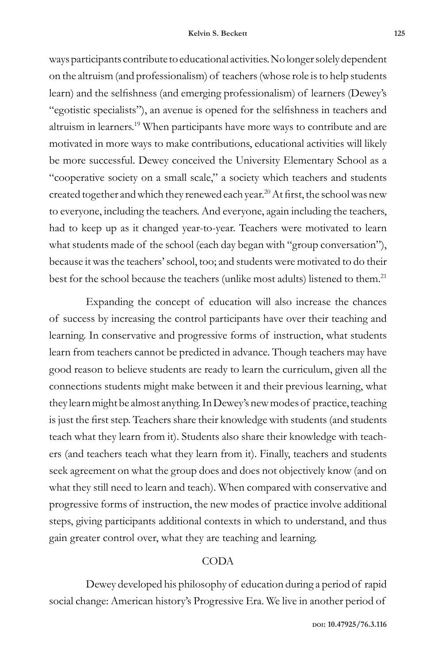ways participants contribute to educational activities. No longer solely dependent on the altruism (and professionalism) of teachers (whose role is to help students learn) and the selfishness (and emerging professionalism) of learners (Dewey's "egotistic specialists"), an avenue is opened for the selfishness in teachers and altruism in learners.19 When participants have more ways to contribute and are motivated in more ways to make contributions, educational activities will likely be more successful. Dewey conceived the University Elementary School as a "cooperative society on a small scale," a society which teachers and students created together and which they renewed each year.<sup>20</sup> At first, the school was new to everyone, including the teachers. And everyone, again including the teachers, had to keep up as it changed year-to-year. Teachers were motivated to learn what students made of the school (each day began with "group conversation"), because it was the teachers' school, too; and students were motivated to do their best for the school because the teachers (unlike most adults) listened to them.<sup>21</sup>

Expanding the concept of education will also increase the chances of success by increasing the control participants have over their teaching and learning. In conservative and progressive forms of instruction, what students learn from teachers cannot be predicted in advance. Though teachers may have good reason to believe students are ready to learn the curriculum, given all the connections students might make between it and their previous learning, what they learn might be almost anything. In Dewey's new modes of practice, teaching is just the first step. Teachers share their knowledge with students (and students teach what they learn from it). Students also share their knowledge with teachers (and teachers teach what they learn from it). Finally, teachers and students seek agreement on what the group does and does not objectively know (and on what they still need to learn and teach). When compared with conservative and progressive forms of instruction, the new modes of practice involve additional steps, giving participants additional contexts in which to understand, and thus gain greater control over, what they are teaching and learning.

# CODA

Dewey developed his philosophy of education during a period of rapid social change: American history's Progressive Era. We live in another period of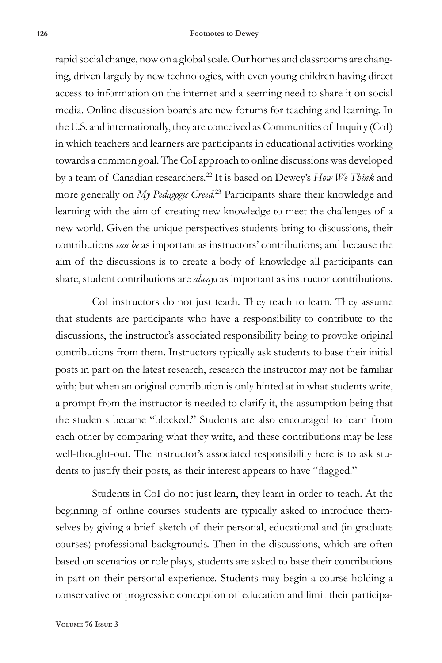rapid social change, now on a global scale. Our homes and classrooms are changing, driven largely by new technologies, with even young children having direct access to information on the internet and a seeming need to share it on social media. Online discussion boards are new forums for teaching and learning. In the U.S. and internationally, they are conceived as Communities of Inquiry (CoI) in which teachers and learners are participants in educational activities working towards a common goal. The CoI approach to online discussions was developed by a team of Canadian researchers.22 It is based on Dewey's *How We Think* and more generally on *My Pedagogic Creed.*<sup>23</sup> Participants share their knowledge and learning with the aim of creating new knowledge to meet the challenges of a new world. Given the unique perspectives students bring to discussions, their contributions *can be* as important as instructors' contributions; and because the aim of the discussions is to create a body of knowledge all participants can share, student contributions are *always* as important as instructor contributions.

CoI instructors do not just teach. They teach to learn. They assume that students are participants who have a responsibility to contribute to the discussions, the instructor's associated responsibility being to provoke original contributions from them. Instructors typically ask students to base their initial posts in part on the latest research, research the instructor may not be familiar with; but when an original contribution is only hinted at in what students write, a prompt from the instructor is needed to clarify it, the assumption being that the students became "blocked." Students are also encouraged to learn from each other by comparing what they write, and these contributions may be less well-thought-out. The instructor's associated responsibility here is to ask students to justify their posts, as their interest appears to have "flagged."

Students in CoI do not just learn, they learn in order to teach. At the beginning of online courses students are typically asked to introduce themselves by giving a brief sketch of their personal, educational and (in graduate courses) professional backgrounds. Then in the discussions, which are often based on scenarios or role plays, students are asked to base their contributions in part on their personal experience. Students may begin a course holding a conservative or progressive conception of education and limit their participa-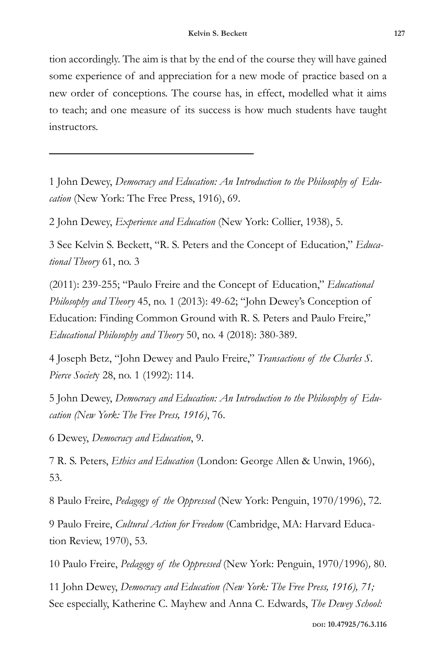tion accordingly. The aim is that by the end of the course they will have gained some experience of and appreciation for a new mode of practice based on a new order of conceptions. The course has, in effect, modelled what it aims to teach; and one measure of its success is how much students have taught instructors.

1 John Dewey, *Democracy and Education: An Introduction to the Philosophy of Education* (New York: The Free Press, 1916), 69.

2 John Dewey, *Experience and Education* (New York: Collier, 1938), 5.

3 See Kelvin S. Beckett, "R. S. Peters and the Concept of Education," *Educational Theory* 61, no. 3

(2011): 239-255; "Paulo Freire and the Concept of Education," *Educational Philosophy and Theory* 45, no. 1 (2013): 49-62; "John Dewey's Conception of Education: Finding Common Ground with R. S. Peters and Paulo Freire," *Educational Philosophy and Theory* 50, no. 4 (2018): 380-389.

4 Joseph Betz, "John Dewey and Paulo Freire," *Transactions of the Charles S. Pierce Societ*y 28, no. 1 (1992): 114.

5 John Dewey, *Democracy and Education: An Introduction to the Philosophy of Education (New York: The Free Press, 1916)*, 76.

6 Dewey, *Democracy and Education*, 9.

7 R. S. Peters, *Ethics and Education* (London: George Allen & Unwin, 1966), 53.

8 Paulo Freire, *Pedagogy of the Oppressed* (New York: Penguin, 1970/1996), 72.

9 Paulo Freire, *Cultural Action for Freedom* (Cambridge, MA: Harvard Education Review, 1970), 53.

10 Paulo Freire, *Pedagogy of the Oppressed* (New York: Penguin, 1970/1996)*,* 80.

11 John Dewey, *Democracy and Education (New York: The Free Press, 1916), 71;* See especially, Katherine C. Mayhew and Anna C. Edwards, *The Dewey School:*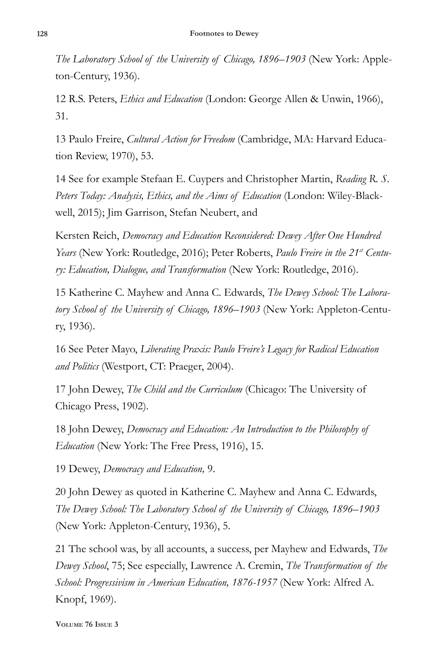*The Laboratory School of the University of Chicago, 1896–1903* (New York: Appleton-Century, 1936).

12 R.S. Peters, *Ethics and Education* (London: George Allen & Unwin, 1966), 31.

13 Paulo Freire, *Cultural Action for Freedom* (Cambridge, MA: Harvard Education Review, 1970), 53.

14 See for example Stefaan E. Cuypers and Christopher Martin, *Reading R. S. Peters Today: Analysis, Ethics, and the Aims of Education* (London: Wiley-Blackwell, 2015); Jim Garrison, Stefan Neubert, and

Kersten Reich, *Democracy and Education Reconsidered: Dewey After One Hundred Years* (New York: Routledge, 2016); Peter Roberts, *Paulo Freire in the 21st Century: Education, Dialogue, and Transformation* (New York: Routledge, 2016).

15 Katherine C. Mayhew and Anna C. Edwards, *The Dewey School: The Laboratory School of the University of Chicago, 1896–1903* (New York: Appleton-Century, 1936).

16 See Peter Mayo, *Liberating Praxis: Paulo Freire's Legacy for Radical Education and Politics* (Westport, CT: Praeger, 2004).

17 John Dewey, *The Child and the Curriculum* (Chicago: The University of Chicago Press, 1902).

18 John Dewey, *Democracy and Education: An Introduction to the Philosophy of Education* (New York: The Free Press, 1916), 15.

19 Dewey, *Democracy and Education,* 9.

20 John Dewey as quoted in Katherine C. Mayhew and Anna C. Edwards, *The Dewey School: The Laboratory School of the University of Chicago, 1896–1903*  (New York: Appleton-Century, 1936), 5.

21 The school was, by all accounts, a success, per Mayhew and Edwards, *The Dewey School*, 75; See especially, Lawrence A. Cremin, *The Transformation of the School: Progressivism in American Education, 1876-1957* (New York: Alfred A. Knopf, 1969).

**Volume 76 Issue 3**